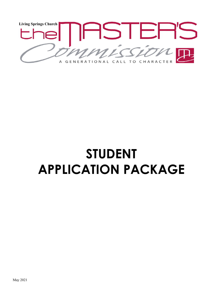

# **STUDENT APPLICATION PACKAGE**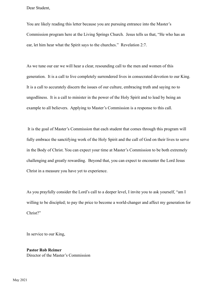Dear Student,

You are likely reading this letter because you are pursuing entrance into the Master's Commission program here at the Living Springs Church. Jesus tells us that, "He who has an ear, let him hear what the Spirit says to the churches." Revelation 2:7.

As we tune our ear we will hear a clear, resounding call to the men and women of this generation. It is a call to live completely surrendered lives in consecrated devotion to our King. It is a call to accurately discern the issues of our culture, embracing truth and saying no to ungodliness. It is a call to minister in the power of the Holy Spirit and to lead by being an example to all believers. Applying to Master's Commission is a response to this call.

 It is the goal of Master's Commission that each student that comes through this program will fully embrace the sanctifying work of the Holy Spirit and the call of God on their lives to serve in the Body of Christ. You can expect your time at Master's Commission to be both extremely challenging and greatly rewarding. Beyond that, you can expect to encounter the Lord Jesus Christ in a measure you have yet to experience.

As you prayfully consider the Lord's call to a deeper level, I invite you to ask yourself, "am I willing to be discipled; to pay the price to become a world-changer and affect my generation for Christ?"

In service to our King,

#### **Pastor Rob Reimer** Director of the Master's Commission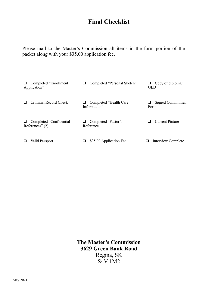## **Final Checklist**

Please mail to the Master's Commission all items in the form portion of the packet along with your \$35.00 application fee.

| Completed "Enrollment"<br>u.<br>Application"       | Completed "Personal Sketch"<br>⊔        | Copy of diploma/<br><b>GED</b> |
|----------------------------------------------------|-----------------------------------------|--------------------------------|
| Criminal Record Check                              | Completed "Health Care"<br>Information" | Signed Commitment<br>Form      |
| Completed "Confidential"<br>⊔<br>References" $(2)$ | Completed "Pastor's<br>Reference"       | <b>Current Picture</b>         |
| Valid Passport                                     | \$35.00 Application Fee                 | Interview Complete             |

**The Master's Commission 3629 Green Bank Road** Regina, SK S4V 1M2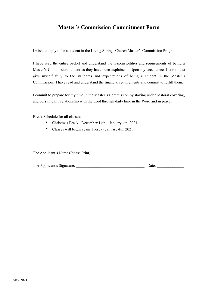#### **Master's Commission Commitment Form**

I wish to apply to be a student in the Living Springs Church Master's Commission Program.

I have read the entire packet and understand the responsibilities and requirements of being a Master's Commission student as they have been explained. Upon my acceptance, I commit to give myself fully to the standards and expectations of being a student in the Master's Commission. I have read and understand the financial requirements and commit to fulfill them.

I commit to prepare for my time in the Master's Commission by staying under pastoral covering, and pursuing my relationship with the Lord through daily time in the Word and in prayer.

Break Schedule for all classes*:*

- Christmas Break: December 14th January 4th, 2021
- Classes will begin again Tuesday January 4th, 2021

The Applicant's Name (Please Print):

| The Applicant's Signature: | Date: |  |
|----------------------------|-------|--|
|                            |       |  |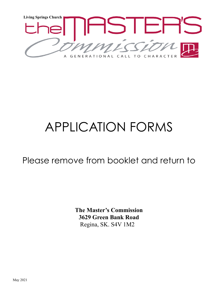

# APPLICATION FORMS

Please remove from booklet and return to

**The Master's Commission 3629 Green Bank Road** Regina, SK. S4V 1M2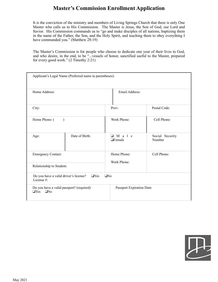### **Master's Commission Enrollment Application**

It is the conviction of the ministry and members of Living Springs Church that there is only One Master who calls us to His Commission. The Master is Jesus, the Son of God, our Lord and Savior. His Commission commands us to "go and make disciples of all nations, baptizing them in the name of the Father, the Son, and the Holy Spirit, and teaching them to obey everything I have commanded you." (Matthew 28:19)

The Master's Commission is for people who choose to dedicate one year of their lives to God, and who desire, in the end, to be "...vessels of honor, sanctified useful to the Master, prepared for every good work." (2 Timothy 2:21)

| Applicant's Legal Name (Preferred name in parentheses):                        |                |                                 |                           |  |  |  |
|--------------------------------------------------------------------------------|----------------|---------------------------------|---------------------------|--|--|--|
| Home Address:                                                                  |                | Email Address:                  |                           |  |  |  |
| City:                                                                          |                | Prov:                           | Postal Code:              |  |  |  |
| Home Phone: (<br>$\lambda$                                                     |                | Work Phone:                     | Cell Phone:               |  |  |  |
| Age:                                                                           | Date of Birth: | $\Box$ M a l e<br>$\Box$ Female | Social Security<br>Number |  |  |  |
| <b>Emergency Contact:</b>                                                      |                | Home Phone:<br>Work Phone:      | Cell Phone:               |  |  |  |
| Relationship to Student:                                                       |                |                                 |                           |  |  |  |
| $\Box$ Yes<br>$\Box$ No<br>Do you have a valid driver's license?<br>License #: |                |                                 |                           |  |  |  |
| Do you have a valid passport? (required)<br>$\Box$ Yes<br>QN <sub>0</sub>      |                | Passport Expiration Date:       |                           |  |  |  |

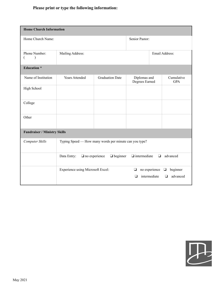#### **Please print or type the following information:**

| <b>Home Church Information</b>      |                                                                                                     |                        |                                |                               |                                     |  |  |
|-------------------------------------|-----------------------------------------------------------------------------------------------------|------------------------|--------------------------------|-------------------------------|-------------------------------------|--|--|
| Home Church Name:                   | Senior Pastor:                                                                                      |                        |                                |                               |                                     |  |  |
| Phone Number:<br>$\lambda$          | Mailing Address:                                                                                    | Email Address:         |                                |                               |                                     |  |  |
| <b>Education</b> *                  |                                                                                                     |                        |                                |                               |                                     |  |  |
| Name of Institution                 | <b>Years Attended</b>                                                                               | <b>Graduation Date</b> | Diplomas and<br>Degrees Earned |                               | Cumulative<br><b>GPA</b>            |  |  |
| High School                         |                                                                                                     |                        |                                |                               |                                     |  |  |
| College                             |                                                                                                     |                        |                                |                               |                                     |  |  |
| Other                               |                                                                                                     |                        |                                |                               |                                     |  |  |
| <b>Fundraiser / Ministry Skills</b> |                                                                                                     |                        |                                |                               |                                     |  |  |
| Computer Skills                     | Typing Speed — How many words per minute can you type?                                              |                        |                                |                               |                                     |  |  |
|                                     | $\Box$ intermediate<br>advanced<br>Data Entry:<br>$\Box$ no experience<br>$\Box$ beginner<br>$\Box$ |                        |                                |                               |                                     |  |  |
|                                     | Experience using Microsoft Excel:                                                                   |                        | $\Box$<br>❏                    | no experience<br>intermediate | beginner<br>❏<br>advanced<br>$\Box$ |  |  |

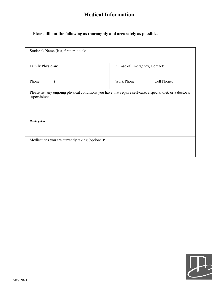## **Medical Information**

#### **Please fill out the following as thoroughly and accurately as possible.**

| Family Physician: | In Case of Emergency, Contact:                                                                             |             |
|-------------------|------------------------------------------------------------------------------------------------------------|-------------|
| Phone: (          | Work Phone:                                                                                                | Cell Phone: |
| supervision:      | Please list any ongoing physical conditions you have that require self-care, a special diet, or a doctor's |             |
|                   |                                                                                                            |             |
| Allergies:        |                                                                                                            |             |

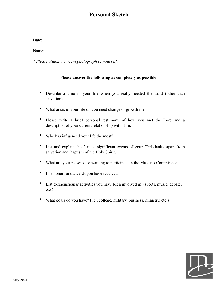#### **Personal Sketch**

| Date: |  |
|-------|--|
|       |  |

Name:

*\* Please attach a current photograph or yourself*.

#### **Please answer the following as completely as possible:**

- Describe a time in your life when you really needed the Lord (other than salvation).
- What areas of your life do you need change or growth in?
- Please write a brief personal testimony of how you met the Lord and a description of your current relationship with Him.
- Who has influenced your life the most?
- List and explain the 2 most significant events of your Christianity apart from salvation and Baptism of the Holy Spirit.
- What are your reasons for wanting to participate in the Master's Commission.
- List honors and awards you have received.
- List extracurricular activities you have been involved in. (sports, music, debate, etc.)
- What goals do you have? (i.e., college, military, business, ministry, etc.)

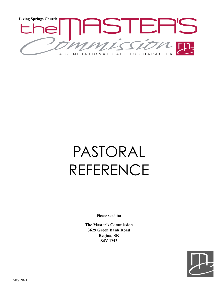

# PASTORAL REFERENCE

**Please send to:**

**The Master's Commission 3629 Green Bank Road Regina, SK S4V 1M2**

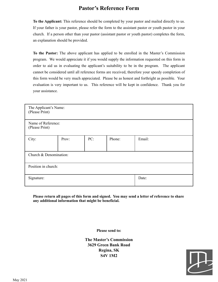#### **Pastor's Reference Form**

**To the Applicant:** This reference should be completed by your pastor and mailed directly to us. If your father is your pastor, please refer the form to the assistant pastor or youth pastor in your church. If a person other than your pastor (assistant pastor or youth pastor) completes the form, an explanation should be provided.

**To the Pastor:** The above applicant has applied to be enrolled in the Master's Commission program. We would appreciate it if you would supply the information requested on this form in order to aid us in evaluating the applicant's suitability to be in the program. The applicant cannot be considered until all reference forms are received, therefore your speedy completion of this form would be very much appreciated. Please be as honest and forthright as possible. Your evaluation is very important to us. This reference will be kept in confidence. Thank you for your assistance.

| The Applicant's Name:<br>(Please Print) |       |     |        |        |  |  |
|-----------------------------------------|-------|-----|--------|--------|--|--|
| Name of Reference:<br>(Please Print)    |       |     |        |        |  |  |
| City:                                   | Prov: | PC: | Phone: | Email: |  |  |
| Church & Denomination:                  |       |     |        |        |  |  |
| Position in church:                     |       |     |        |        |  |  |
| Signature:                              |       |     |        | Date:  |  |  |

**Please return all pages of this form and signed. You may send a letter of reference to share any additional information that might be beneficial.**

**Please send to:**

**The Master's Commission 3629 Green Bank Road Regina, SK S4V 1M2**

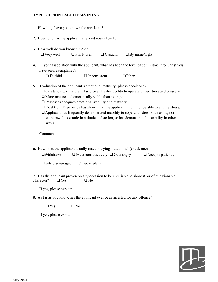#### **TYPE OR PRINT ALL ITEMS IN INK:**

|    |                                           | 1. How long have you known the applicant?                                                                                                                                                        |                                                                                                                                                                                                                                                                                                                                                                            |
|----|-------------------------------------------|--------------------------------------------------------------------------------------------------------------------------------------------------------------------------------------------------|----------------------------------------------------------------------------------------------------------------------------------------------------------------------------------------------------------------------------------------------------------------------------------------------------------------------------------------------------------------------------|
|    |                                           |                                                                                                                                                                                                  | 2. How long has the applicant attended your church?                                                                                                                                                                                                                                                                                                                        |
|    | 3. How well do you know him/her?          | $\Box$ Very well $\Box$ Fairly well                                                                                                                                                              | $\Box$ Casually $\Box$ By name/sight                                                                                                                                                                                                                                                                                                                                       |
| 4. | have seen exemplified?<br>$\Box$ Faithful | $\Box$ Inconsistent                                                                                                                                                                              | In your association with the applicant, what has been the level of commitment to Christ you<br>$\Box$ Other                                                                                                                                                                                                                                                                |
| 5. | ways.                                     | Evaluation of the applicant's emotional maturity (please check one)<br>$\Box$ More mature and emotionally stable than average.<br>$\square$ Possesses adequate emotional stability and maturity. | Outstandingly mature. Has proven his/her ability to operate under stress and pressure.<br>□ Doubtful. Experience has shown that the applicant might not be able to endure stress.<br>$\Box$ Applicant has frequently demonstrated inability to cope with stress such as rage or<br>withdrawal, is erratic in attitude and action, or has demonstrated instability in other |
|    | Comments:                                 |                                                                                                                                                                                                  |                                                                                                                                                                                                                                                                                                                                                                            |
|    | $\Box$ Withdraws                          | 6. How does the applicant usually react in trying situations? (check one)                                                                                                                        | $\Box$ Meet constructively $\Box$ Gets angry $\Box$ Accepts patiently                                                                                                                                                                                                                                                                                                      |
|    |                                           |                                                                                                                                                                                                  | $\Box$ Gets discouraged $\Box$ Other, explain:                                                                                                                                                                                                                                                                                                                             |
|    | character?<br>$\Box$ Yes                  | $\Box$ No                                                                                                                                                                                        | 7. Has the applicant proven on any occasion to be unreliable, dishonest, or of questionable                                                                                                                                                                                                                                                                                |
|    |                                           | If yes, please explain:                                                                                                                                                                          |                                                                                                                                                                                                                                                                                                                                                                            |
|    |                                           |                                                                                                                                                                                                  | 8. As far as you know, has the applicant ever been arrested for any offence?                                                                                                                                                                                                                                                                                               |
|    | $\Box$ Yes                                | $\Box$ No                                                                                                                                                                                        |                                                                                                                                                                                                                                                                                                                                                                            |
|    | If yes, please explain:                   |                                                                                                                                                                                                  |                                                                                                                                                                                                                                                                                                                                                                            |
|    |                                           |                                                                                                                                                                                                  |                                                                                                                                                                                                                                                                                                                                                                            |

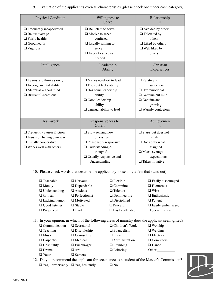| <b>Physical Condition</b>                                                                                                            | Willingness to<br>Serve                                                                                                                                                   | Relationship                                                                                                                              |
|--------------------------------------------------------------------------------------------------------------------------------------|---------------------------------------------------------------------------------------------------------------------------------------------------------------------------|-------------------------------------------------------------------------------------------------------------------------------------------|
| $\Box$ Frequently incapacitated<br>$\Box$ Below average<br>$\Box$ Fairly healthy<br>$\Box$ Good health<br>$\Box$ Vigorous            | $\Box$ Reluctant to serve<br>$\Box$ Motive to serve<br>confused<br>$\Box$ Usually willing to<br>serve<br>$\Box$ Eager to serve as<br>needed                               | $\Box$ Avoided by others<br>$\Box$ Tolerated by<br>others<br>$\Box$ Liked by others<br>$\Box$ Well liked by<br>others                     |
| Intelligence                                                                                                                         | Leadership<br>Ability                                                                                                                                                     | Christian<br>Experiences                                                                                                                  |
| $\Box$ Learns and thinks slowly<br>$\Box$ Average mental ability<br>□ Alert/Has a good mind<br>$\Box$ Brilliant/Exceptional          | $\Box$ Makes no effort to lead<br>$\Box$ Tries but lacks ability<br>$\Box$ Has some leadership<br>ability<br>Good leadership<br>ability<br>$\Box$ Unusual ability to lead | $\Box$ Relatively<br>superficial<br>Overemotional<br>$\Box$ Genuine but mild<br>$\Box$ Genuine and<br>growing<br>$\Box$ Warmly contagious |
| Teamwork                                                                                                                             | Responsiveness to<br>Others                                                                                                                                               | Achievemen<br>$\mathbf t$                                                                                                                 |
| $\Box$ Frequently causes friction<br>$\Box$ Insists on having own way<br>$\Box$ Usually cooperative<br>$\Box$ Works well with others | $\Box$ Slow sensing how<br>others feel<br>$\Box$ Reasonably responsive<br>$\Box$ Understanding &<br>thoughtful<br>$\Box$ Usually responsive and<br>Understanding          | $\Box$ Starts but does not<br>finish<br>$\Box$ Does only what<br>assigned<br>□ Meets average<br>expectations<br>$\Box$ Takes initiative   |

9. Evaluation of the applicant's over-all characteristics (please check one under each category).

10. Please check words that describe the applicant (choose only a few that stand out).

| □ Teachable          | $\Box$ Nervous       | $\Box$ Flexible        | $\Box$ Easily discouraged |
|----------------------|----------------------|------------------------|---------------------------|
| $\Box$ Moody         | $\Box$ Dependable    | $\Box$ Committed       | $\Box$ Humorous           |
| $\Box$ Understanding | $\Box$ Anxious       | $\Box$ Tolerant        | $\Box$ Wise               |
| □ Critical           | $\Box$ Perfectionist | $\Box$ Domineering     | $\Box$ Enthusiastic       |
| $\Box$ Lacking humor | $\Box$ Motivated     | $\Box$ Disciplined     | $\Box$ Patient            |
| Good listener        | $\Box$ Stable        | $\Box$ Peaceful        | $\Box$ Easily embarrassed |
| $\Box$ Prejudiced    | $\Box$ Kind          | $\Box$ Easily offended | $\Box$ Servant's heart    |

11. In your opinion, in which of the following areas of ministry does the applicant seem gifted?

❑ Communication ❑ Secretarial ❑ Children's Work ❑ Worship ❑ Teaching ❑ Discipleship ❑ Evangelism ❑ Welding ❑ Music ❑ Counseling ❑ Prayer ❑ Electrical ❑ Carpentry ❑ Medical ❑ Administration ❑ Computers ❑ Hospitality ❑ Encourager ❑ Plumbing ❑ Dance ❑ Drama ❑ Art ❑ Laboring Other:\_\_\_\_\_\_\_\_\_\_ ❑ Youth ❑ Seniors

- 
- 12. Do you recommend the applicant for acceptance as a student of the Master's Commission?  $\Box$  Yes, unreservedly  $\Box$  Yes, hesitantly  $\Box$  No

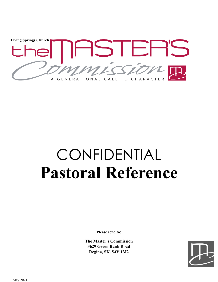

# CONFIDENTIAL **Pastoral Reference**

**Please send to:**

**The Master's Commission 3629 Green Bank Road Regina, SK. S4V 1M2**

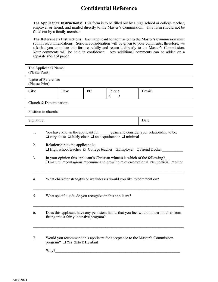### **Confidential Reference**

**The Applicant's Instructions:** This form is to be filled out by a high school or college teacher, employer or friend, and mailed directly to the Master's Commission. This form should not be filled out by a family member.

**The Reference's Instructions:** Each applicant for admission to the Master's Commission must submit recommendations. Serious consideration will be given to your comments; therefore, we ask that you complete this form carefully and return it directly to the Master's Commission. Your comments will be held in confidence. Any additional comments can be added on a separate sheet of paper.

| The Applicant's Name:<br>(Please Print) |                                |  |  |       |  |  |  |
|-----------------------------------------|--------------------------------|--|--|-------|--|--|--|
| Name of Reference:<br>(Please Print)    |                                |  |  |       |  |  |  |
| City:                                   | PC<br>Email:<br>Prov<br>Phone: |  |  |       |  |  |  |
|                                         | Church & Denomination:         |  |  |       |  |  |  |
| Position in church:                     |                                |  |  |       |  |  |  |
| Signature:                              |                                |  |  | Date: |  |  |  |

- 1. You have known the applicant for years and consider your relationship to be:  $\Box$  very close  $\Box$  fairly close  $\Box$  an acquaintance  $\Box$  minimal
- 2. Relationship to the applicant is:  $\Box$  High school teacher  $\Box$  College teacher  $\Box$  Employer  $\Box$  Friend  $\Box$  other
- 3. In your opinion this applicant's Christian witness is which of the following? ❑ mature ☐contagious ☐genuine and growing ☐ over-emotional ☐superficial ☐other

 $\mathcal{L}_\mathcal{L} = \{ \mathcal{L}_\mathcal{L} = \{ \mathcal{L}_\mathcal{L} = \{ \mathcal{L}_\mathcal{L} = \{ \mathcal{L}_\mathcal{L} = \{ \mathcal{L}_\mathcal{L} = \{ \mathcal{L}_\mathcal{L} = \{ \mathcal{L}_\mathcal{L} = \{ \mathcal{L}_\mathcal{L} = \{ \mathcal{L}_\mathcal{L} = \{ \mathcal{L}_\mathcal{L} = \{ \mathcal{L}_\mathcal{L} = \{ \mathcal{L}_\mathcal{L} = \{ \mathcal{L}_\mathcal{L} = \{ \mathcal{L}_\mathcal{$ 

 $\mathcal{L}_\text{max} = \mathcal{L}_\text{max} = \mathcal{L}_\text{max} = \mathcal{L}_\text{max} = \mathcal{L}_\text{max} = \mathcal{L}_\text{max} = \mathcal{L}_\text{max} = \mathcal{L}_\text{max} = \mathcal{L}_\text{max} = \mathcal{L}_\text{max} = \mathcal{L}_\text{max} = \mathcal{L}_\text{max} = \mathcal{L}_\text{max} = \mathcal{L}_\text{max} = \mathcal{L}_\text{max} = \mathcal{L}_\text{max} = \mathcal{L}_\text{max} = \mathcal{L}_\text{max} = \mathcal{$ 

- 4. What character strengths or weaknesses would you like to comment on?
- 5. What specific gifts do you recognize in this applicant?
- 6. Does this applicant have any persistent habits that you feel would hinder him/her from fitting into a fairly intensive program?

 $\mathcal{L}_\mathcal{L} = \{ \mathcal{L}_\mathcal{L} = \{ \mathcal{L}_\mathcal{L} = \{ \mathcal{L}_\mathcal{L} = \{ \mathcal{L}_\mathcal{L} = \{ \mathcal{L}_\mathcal{L} = \{ \mathcal{L}_\mathcal{L} = \{ \mathcal{L}_\mathcal{L} = \{ \mathcal{L}_\mathcal{L} = \{ \mathcal{L}_\mathcal{L} = \{ \mathcal{L}_\mathcal{L} = \{ \mathcal{L}_\mathcal{L} = \{ \mathcal{L}_\mathcal{L} = \{ \mathcal{L}_\mathcal{L} = \{ \mathcal{L}_\mathcal{$ 

 $\mathcal{L}_\mathcal{L} = \{ \mathcal{L}_\mathcal{L} = \{ \mathcal{L}_\mathcal{L} = \{ \mathcal{L}_\mathcal{L} = \{ \mathcal{L}_\mathcal{L} = \{ \mathcal{L}_\mathcal{L} = \{ \mathcal{L}_\mathcal{L} = \{ \mathcal{L}_\mathcal{L} = \{ \mathcal{L}_\mathcal{L} = \{ \mathcal{L}_\mathcal{L} = \{ \mathcal{L}_\mathcal{L} = \{ \mathcal{L}_\mathcal{L} = \{ \mathcal{L}_\mathcal{L} = \{ \mathcal{L}_\mathcal{L} = \{ \mathcal{L}_\mathcal{$ 

7. Would you recommend this applicant for acceptance to the Master's Commission program? ❑ Yes ☐No ☐Hesitant

Why?\_\_\_\_\_\_\_\_\_\_\_\_\_\_\_\_\_\_\_\_\_\_\_\_\_\_\_\_\_\_\_\_\_\_\_\_\_\_\_\_\_\_\_\_\_\_\_\_\_\_\_\_\_\_\_\_\_\_\_\_\_\_\_\_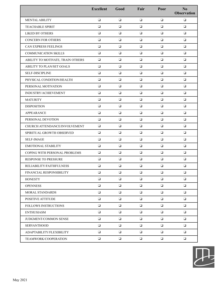|                                   | <b>Excellent</b> | Good   | Fair   | Poor   | No<br><b>Observation</b> |
|-----------------------------------|------------------|--------|--------|--------|--------------------------|
| <b>MENTAL ABILITY</b>             | $\Box$           | $\Box$ | $\Box$ | $\Box$ | $\Box$                   |
| <b>TEACHABLE SPIRIT</b>           | $\Box$           | $\Box$ | $\Box$ | $\Box$ | $\Box$                   |
| <b>LIKED BY OTHERS</b>            | $\Box$           | $\Box$ | $\Box$ | $\Box$ | $\Box$                   |
| <b>CONCERN FOR OTHERS</b>         | $\Box$           | $\Box$ | $\Box$ | $\Box$ | $\Box$                   |
| CAN EXPRESS FEELINGS              | $\Box$           | $\Box$ | $\Box$ | $\Box$ | $\Box$                   |
| <b>COMMUNICATION SKILLS</b>       | $\Box$           | $\Box$ | $\Box$ | $\Box$ | $\Box$                   |
| ABILITY TO MOTIVATE, TRAIN OTHERS | $\Box$           | $\Box$ | $\Box$ | $\Box$ | $\Box$                   |
| ABILITY TO PLAN/SET GOALS         | $\Box$           | $\Box$ | $\Box$ | $\Box$ | $\Box$                   |
| <b>SELF-DISCIPLINE</b>            | $\Box$           | $\Box$ | $\Box$ | $\Box$ | $\Box$                   |
| PHYSICAL CONDITION/HEALTH         | $\Box$           | $\Box$ | $\Box$ | $\Box$ | $\Box$                   |
| PERSONAL MOTIVATION               | $\Box$           | $\Box$ | $\Box$ | $\Box$ | $\Box$                   |
| INDUSTRY/ACHIEVEMENT              | $\Box$           | $\Box$ | $\Box$ | $\Box$ | $\Box$                   |
| <b>MATURITY</b>                   | $\Box$           | $\Box$ | $\Box$ | $\Box$ | $\Box$                   |
| <b>DISPOSITION</b>                | $\Box$           | $\Box$ | $\Box$ | $\Box$ | $\Box$                   |
| APPEARANCE                        | $\Box$           | $\Box$ | $\Box$ | $\Box$ | $\Box$                   |
| PERSONAL DEVOTION                 | $\Box$           | $\Box$ | $\Box$ | $\Box$ | $\Box$                   |
| CHURCH ATTENDANCE/INVOLVEMENT     | $\Box$           | $\Box$ | $\Box$ | $\Box$ | $\Box$                   |
| SPIRITUAL GROWTH OBSERVED         | $\Box$           | $\Box$ | $\Box$ | $\Box$ | $\Box$                   |
| <b>SELF-IMAGE</b>                 | $\Box$           | $\Box$ | $\Box$ | $\Box$ | $\Box$                   |
| <b>EMOTIONAL STABILITY</b>        | $\Box$           | $\Box$ | $\Box$ | $\Box$ | $\Box$                   |
| COPING WITH PERSONAL PROBLEMS     | $\Box$           | $\Box$ | $\Box$ | $\Box$ | $\Box$                   |
| RESPONSE TO PRESSURE              | $\Box$           | ❏      | $\Box$ | $\Box$ | $\Box$                   |
| RELIABILITY/FAITHFULNESS          | $\Box$           | $\Box$ | $\Box$ | $\Box$ | $\Box$                   |
| FINANCIAL RESPONSIBILITY          | $\Box$           | $\Box$ | $\Box$ | $\Box$ | $\Box$                   |
| <b>HONESTY</b>                    | $\Box$           | $\Box$ | $\Box$ | $\Box$ | $\Box$                   |
| <b>OPENNESS</b>                   | $\Box$           | $\Box$ | $\Box$ | $\Box$ | $\Box$                   |
| MORAL STANDARDS                   | $\Box$           | $\Box$ | $\Box$ | $\Box$ | $\Box$                   |
| POSITIVE ATTITUDE                 | $\Box$           | $\Box$ | $\Box$ | $\Box$ | $\Box$                   |
| <b>FOLLOWS INSTRUCTIONS</b>       | $\Box$           | $\Box$ | $\Box$ | $\Box$ | $\Box$                   |
| <b>ENTHUSIASM</b>                 | $\Box$           | $\Box$ | $\Box$ | $\Box$ | $\Box$                   |
| JUDGMENT/COMMON SENSE             | $\Box$           | $\Box$ | $\Box$ | $\Box$ | $\Box$                   |
| <b>SERVANTHOOD</b>                | $\Box$           | $\Box$ | $\Box$ | $\Box$ | $\Box$                   |
| ADAPTABILITY/FLEXIBILITY          | $\Box$           | $\Box$ | $\Box$ | $\Box$ | $\Box$                   |
| TEAMWORK/COOPERATION              | $\Box$           | $\Box$ | $\Box$ | $\Box$ | $\Box$                   |

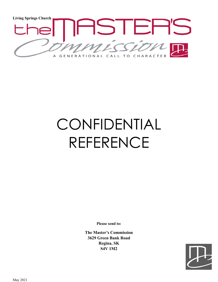

# CONFIDENTIAL REFERENCE

**Please send to:**

**The Master's Commission 3629 Green Bank Road Regina, SK S4V 1M2**

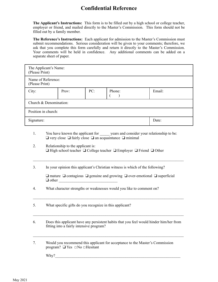### **Confidential Reference**

**The Applicant's Instructions:** This form is to be filled out by a high school or college teacher, employer or friend, and mailed directly to the Master's Commission. This form should not be filled out by a family member.

**The Reference's Instructions:** Each applicant for admission to the Master's Commission must submit recommendations. Serious consideration will be given to your comments; therefore, we ask that you complete this form carefully and return it directly to the Master's Commission. Your comments will be held in confidence. Any additional comments can be added on a separate sheet of paper.

| The Applicant's Name:<br>(Please Print) |       |     |        |        |  |  |  |  |
|-----------------------------------------|-------|-----|--------|--------|--|--|--|--|
| Name of Reference:<br>(Please Print)    |       |     |        |        |  |  |  |  |
| City:                                   | Prov: | PC: | Phone: | Email: |  |  |  |  |
| Church & Denomination:                  |       |     |        |        |  |  |  |  |
| Position in church:                     |       |     |        |        |  |  |  |  |
| Signature:                              | Date: |     |        |        |  |  |  |  |

- 1. You have known the applicant for years and consider your relationship to be: ❑ very close ❑ fairly close ❑ an acquaintance ❑ minimal
- 2. Relationship to the applicant is: ❑ High school teacher ❑ College teacher ❑ Employer ❑ Friend ❑ Other
- 3. In your opinion this applicant's Christian witness is which of the following?

❑ mature ❑ contagious ❑ genuine and growing ❑ over-emotional ❑ superficial ❑ other \_\_\_\_\_\_\_\_\_\_\_\_\_\_\_\_\_\_\_\_\_\_\_\_\_\_\_\_\_\_

 $\mathcal{L}_\mathcal{L} = \{ \mathcal{L}_\mathcal{L} = \{ \mathcal{L}_\mathcal{L} = \{ \mathcal{L}_\mathcal{L} = \{ \mathcal{L}_\mathcal{L} = \{ \mathcal{L}_\mathcal{L} = \{ \mathcal{L}_\mathcal{L} = \{ \mathcal{L}_\mathcal{L} = \{ \mathcal{L}_\mathcal{L} = \{ \mathcal{L}_\mathcal{L} = \{ \mathcal{L}_\mathcal{L} = \{ \mathcal{L}_\mathcal{L} = \{ \mathcal{L}_\mathcal{L} = \{ \mathcal{L}_\mathcal{L} = \{ \mathcal{L}_\mathcal{$ 

 $\mathcal{L}_\mathcal{L} = \{ \mathcal{L}_\mathcal{L} = \{ \mathcal{L}_\mathcal{L} = \{ \mathcal{L}_\mathcal{L} = \{ \mathcal{L}_\mathcal{L} = \{ \mathcal{L}_\mathcal{L} = \{ \mathcal{L}_\mathcal{L} = \{ \mathcal{L}_\mathcal{L} = \{ \mathcal{L}_\mathcal{L} = \{ \mathcal{L}_\mathcal{L} = \{ \mathcal{L}_\mathcal{L} = \{ \mathcal{L}_\mathcal{L} = \{ \mathcal{L}_\mathcal{L} = \{ \mathcal{L}_\mathcal{L} = \{ \mathcal{L}_\mathcal{$ 

4. What character strengths or weaknesses would you like to comment on?

5. What specific gifts do you recognize in this applicant?

6. Does this applicant have any persistent habits that you feel would hinder him/her from fitting into a fairly intensive program?

 $\mathcal{L}_\mathcal{L} = \{ \mathcal{L}_\mathcal{L} = \{ \mathcal{L}_\mathcal{L} = \{ \mathcal{L}_\mathcal{L} = \{ \mathcal{L}_\mathcal{L} = \{ \mathcal{L}_\mathcal{L} = \{ \mathcal{L}_\mathcal{L} = \{ \mathcal{L}_\mathcal{L} = \{ \mathcal{L}_\mathcal{L} = \{ \mathcal{L}_\mathcal{L} = \{ \mathcal{L}_\mathcal{L} = \{ \mathcal{L}_\mathcal{L} = \{ \mathcal{L}_\mathcal{L} = \{ \mathcal{L}_\mathcal{L} = \{ \mathcal{L}_\mathcal{$ 

 $\mathcal{L}_\mathcal{L} = \{ \mathcal{L}_\mathcal{L} = \{ \mathcal{L}_\mathcal{L} = \{ \mathcal{L}_\mathcal{L} = \{ \mathcal{L}_\mathcal{L} = \{ \mathcal{L}_\mathcal{L} = \{ \mathcal{L}_\mathcal{L} = \{ \mathcal{L}_\mathcal{L} = \{ \mathcal{L}_\mathcal{L} = \{ \mathcal{L}_\mathcal{L} = \{ \mathcal{L}_\mathcal{L} = \{ \mathcal{L}_\mathcal{L} = \{ \mathcal{L}_\mathcal{L} = \{ \mathcal{L}_\mathcal{L} = \{ \mathcal{L}_\mathcal{$ 

7. Would you recommend this applicant for acceptance to the Master's Commission program? ❑ Yes ☐No ☐Hesitant

Why?